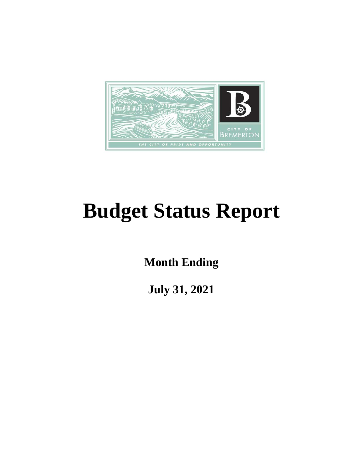

# **Budget Status Report**

**Month Ending**

**July 31, 2021**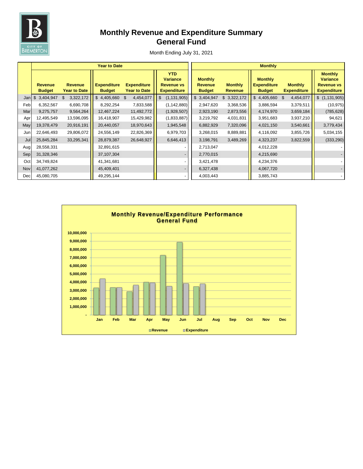

# **Monthly Revenue and Expenditure Summary General Fund**

|     |                                 |                                       | <b>Year to Date</b>                 |                                           | <b>Monthly</b>                                                           |                                                   |                                  |                                                       |                                      |                                                                              |  |  |
|-----|---------------------------------|---------------------------------------|-------------------------------------|-------------------------------------------|--------------------------------------------------------------------------|---------------------------------------------------|----------------------------------|-------------------------------------------------------|--------------------------------------|------------------------------------------------------------------------------|--|--|
|     | <b>Revenue</b><br><b>Budget</b> | <b>Revenue</b><br><b>Year to Date</b> | <b>Expenditure</b><br><b>Budget</b> | <b>Expenditure</b><br><b>Year to Date</b> | <b>YTD</b><br><b>Variance</b><br><b>Revenue vs</b><br><b>Expenditure</b> | <b>Monthly</b><br><b>Revenue</b><br><b>Budget</b> | <b>Monthly</b><br><b>Revenue</b> | <b>Monthly</b><br><b>Expenditure</b><br><b>Budget</b> | <b>Monthly</b><br><b>Expenditure</b> | <b>Monthly</b><br><b>Variance</b><br><b>Revenue vs</b><br><b>Expenditure</b> |  |  |
| Jan | $\frac{1}{2}$<br>3,404,947      | 3,322,172<br>\$                       | $\mathbb{S}$<br>4,405,660 \$        | 4,454,077                                 | (1, 131, 905)<br>\$                                                      | \$3,404,947                                       | \$3,322,172                      | \$4,405,660                                           | 4,454,077<br>$\mathbb{S}$            | \$(1,131,905)                                                                |  |  |
| Feb | 6,352,567                       | 6,690,708                             | 8,292,254                           | 7,833,588                                 | (1, 142, 880)                                                            | 2,947,620                                         | 3,368,536                        | 3,886,594                                             | 3,379,511                            | (10, 975)                                                                    |  |  |
| Mar | 9,275,757                       | 9,564,264                             | 12,467,224                          | 11,492,772                                | (1,928,507)                                                              | 2,923,190                                         | 2,873,556                        | 4,174,970                                             | 3,659,184                            | (785, 628)                                                                   |  |  |
| Apr | 12,495,549                      | 13,596,095                            | 16,418,907                          | 15,429,982                                | (1,833,887)                                                              | 3,219,792                                         | 4,031,831                        | 3,951,683                                             | 3,937,210                            | 94,621                                                                       |  |  |
| May | 19,378,479                      | 20,916,191                            | 20,440,057                          | 18,970,643                                | 1,945,548                                                                | 6,882,929                                         | 7,320,096                        | 4,021,150                                             | 3,540,661                            | 3,779,434                                                                    |  |  |
| Jun | 22,646,493                      | 29,806,072                            | 24,556,149                          | 22,826,369                                | 6,979,703                                                                | 3,268,015                                         | 8,889,881                        | 4,116,092                                             | 3,855,726                            | 5,034,155                                                                    |  |  |
| Jul | 25,845,284                      | 33,295,341                            | 28,879,387                          | 26,648,927                                | 6,646,413                                                                | 3,198,791                                         | 3,489,269                        | 4,323,237                                             | 3,822,559                            | (333, 290)                                                                   |  |  |
| Aug | 28,558,331                      |                                       | 32,891,615                          |                                           |                                                                          | 2,713,047                                         |                                  | 4,012,228                                             |                                      |                                                                              |  |  |
| Sep | 31,328,346                      |                                       | 37,107,304                          |                                           |                                                                          | 2,770,015                                         |                                  | 4,215,690                                             |                                      |                                                                              |  |  |
| Oct | 34,749,824                      |                                       | 41,341,681                          |                                           |                                                                          | 3,421,478                                         |                                  | 4,234,376                                             |                                      |                                                                              |  |  |
| Nov | 41,077,262                      |                                       | 45,409,401                          |                                           |                                                                          | 6,327,438                                         |                                  | 4,067,720                                             |                                      |                                                                              |  |  |
| Dec | 45,080,705                      |                                       | 49,295,144                          |                                           |                                                                          | 4,003,443                                         |                                  | 3,885,743                                             |                                      |                                                                              |  |  |

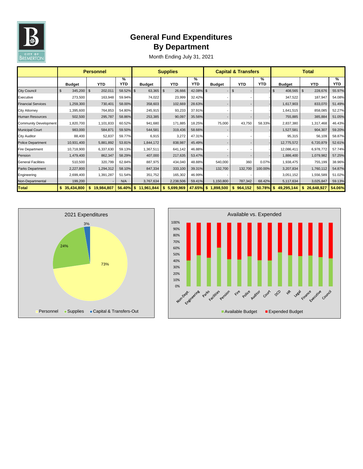

# **General Fund Expenditures By Department**

|                              | <b>Personnel</b>   |            |                             |                    | <b>Supplies</b> |                             |                 | <b>Capital &amp; Transfers</b> |                 |                       | <b>Total</b>     |                 |  |
|------------------------------|--------------------|------------|-----------------------------|--------------------|-----------------|-----------------------------|-----------------|--------------------------------|-----------------|-----------------------|------------------|-----------------|--|
|                              | <b>Budget</b>      | <b>YTD</b> | $\frac{9}{6}$<br><b>YTD</b> | <b>Budget</b>      | <b>YTD</b>      | $\frac{9}{6}$<br><b>YTD</b> | <b>Budget</b>   | <b>YTD</b>                     | ℅<br><b>YTD</b> | <b>Budget</b>         | <b>YTD</b>       | %<br><b>YTD</b> |  |
| <b>City Council</b>          | $345,200$ \$<br>\$ | 202,011    | 58.52% \$                   | $63,365$ \$        | 26,666          | 42.08% \$                   | $\blacksquare$  | \$                             |                 | 408,565<br>$\sqrt{3}$ | \$<br>228,676    | 55.97%          |  |
| Executive                    | 273,500            | 163,948    | 59.94%                      | 74,022             | 23,999          | 32.42%                      |                 |                                |                 | 347,522               | 187,947          | 54.08%          |  |
| <b>Financial Services</b>    | 1,259,300          | 730,401    | 58.00%                      | 358,603            | 102,669         | 28.63%                      |                 |                                |                 | 1,617,903             | 833,070          | 51.49%          |  |
| <b>City Attorney</b>         | 1,395,600          | 764,853    | 54.80%                      | 245,915            | 93,233          | 37.91%                      |                 |                                |                 | 1,641,515             | 858,085          | 52.27%          |  |
| <b>Human Resources</b>       | 502,500            | 295,787    | 58.86%                      | 253,385            | 90,097          | 35.56%                      |                 |                                |                 | 755,885               | 385,884          | 51.05%          |  |
| <b>Community Development</b> | 1,820,700          | 1,101,833  | 60.52%                      | 941,680            | 171,885         | 18.25%                      | 75,000          | 43,750                         | 58.33%          | 2,837,380             | 1,317,468        | 46.43%          |  |
| <b>Municipal Court</b>       | 983,000            | 584,871    | 59.50%                      | 544,581            | 319,436         | 58.66%                      |                 |                                |                 | 1,527,581             | 904,307          | 59.20%          |  |
| <b>City Auditor</b>          | 88,400             | 52,837     | 59.77%                      | 6,915              | 3,272           | 47.31%                      |                 |                                |                 | 95,315                | 56,109           | 58.87%          |  |
| <b>Police Department</b>     | 10,931,400         | 5,881,892  | 53.81%                      | 1,844,172          | 838,987         | 45.49%                      |                 |                                |                 | 12,775,572            | 6,720,879        | 52.61%          |  |
| <b>Fire Department</b>       | 10,718,900         | 6,337,630  | 59.13%                      | 1,367,511          | 641,142         | 46.88%                      |                 |                                |                 | 12,086,411            | 6,978,772        | 57.74%          |  |
| Pension                      | 1,479,400          | 862,347    | 58.29%                      | 407,000            | 217,635         | 53.47%                      |                 |                                |                 | 1,886,400             | 1,079,982        | 57.25%          |  |
| <b>General Facilities</b>    | 510,500            | 320,799    | 62.84%                      | 887,975            | 434,040         | 48.88%                      | 540,000         | 360                            | 0.07%           | 1,938,475             | 755,199          | 38.96%          |  |
| Parks Department             | 2,227,800          | 1,294,312  | 58.10%                      | 847,334            | 333,100         | 39.31%                      | 132,700         | 132,700                        | 100.00%         | 3,207,834             | 1,760,112        | 54.87%          |  |
| Engineering                  | 2,699,400          | 1,391,287  | 51.54%                      | 351,752            | 165,302         | 46.99%                      |                 |                                |                 | 3,051,152             | 1,556,589        | 51.02%          |  |
| Non-Departmental             | 199,200            |            | N/A                         | 3,767,634          | 2,238,506       | 59.41%                      | 1,150,800       | 787,342                        | 68.42%          | 5,117,634             | 3,025,847        | 59.13%          |  |
| <b>Total</b>                 | 35,434,800         | 19,984,807 | 56.40%                      | 11,961,844<br>- \$ | 5,699,969<br>S. | 47.65%                      | \$<br>1,898,500 | 964,152<br>S.                  | 50.78%          | 49,295,144            | 26,648,927<br>\$ | 54.06%          |  |



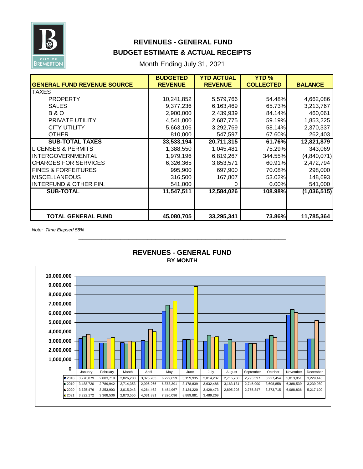

## **REVENUES - GENERAL FUND BUDGET ESTIMATE & ACTUAL RECEIPTS**

Month Ending July 31, 2021

| <b>REVENUE</b><br><b>REVENUE</b><br>10,241,852<br>5,579,766<br>6,163,469<br>9,377,236<br>2,900,000<br>2,439,939<br>4,541,000<br>2,687,775<br>5,663,106<br>3,292,769<br>810,000<br>547,597<br>33,533,194<br>20,711,315<br>1,388,550<br>1,045,481<br>1,979,196<br>6,819,267 | <b>COLLECTED</b><br>54.48%<br>65.73%<br>84.14%<br>59.19%<br>58.14%<br>67.60%<br>61.76%<br>75.29%<br>344.55% | <b>BALANCE</b><br>4,662,086<br>3,213,767<br>460,061<br>1,853,225<br>2,370,337<br>262,403<br>12,821,879<br>343,069<br>(4,840,071) |
|---------------------------------------------------------------------------------------------------------------------------------------------------------------------------------------------------------------------------------------------------------------------------|-------------------------------------------------------------------------------------------------------------|----------------------------------------------------------------------------------------------------------------------------------|
|                                                                                                                                                                                                                                                                           |                                                                                                             |                                                                                                                                  |
|                                                                                                                                                                                                                                                                           |                                                                                                             |                                                                                                                                  |
|                                                                                                                                                                                                                                                                           |                                                                                                             |                                                                                                                                  |
|                                                                                                                                                                                                                                                                           |                                                                                                             |                                                                                                                                  |
|                                                                                                                                                                                                                                                                           |                                                                                                             |                                                                                                                                  |
|                                                                                                                                                                                                                                                                           |                                                                                                             |                                                                                                                                  |
|                                                                                                                                                                                                                                                                           |                                                                                                             |                                                                                                                                  |
|                                                                                                                                                                                                                                                                           |                                                                                                             |                                                                                                                                  |
|                                                                                                                                                                                                                                                                           |                                                                                                             |                                                                                                                                  |
|                                                                                                                                                                                                                                                                           |                                                                                                             |                                                                                                                                  |
|                                                                                                                                                                                                                                                                           |                                                                                                             |                                                                                                                                  |
| 6,326,365<br>3,853,571                                                                                                                                                                                                                                                    | 60.91%                                                                                                      | 2,472,794                                                                                                                        |
| 995,900<br>697,900                                                                                                                                                                                                                                                        | 70.08%                                                                                                      | 298,000                                                                                                                          |
| 316,500<br>167,807                                                                                                                                                                                                                                                        | 53.02%                                                                                                      | 148,693                                                                                                                          |
|                                                                                                                                                                                                                                                                           | 0.00%                                                                                                       | 541,000                                                                                                                          |
|                                                                                                                                                                                                                                                                           |                                                                                                             | (1,036,515)                                                                                                                      |
|                                                                                                                                                                                                                                                                           |                                                                                                             |                                                                                                                                  |
|                                                                                                                                                                                                                                                                           |                                                                                                             | 11,785,364                                                                                                                       |
|                                                                                                                                                                                                                                                                           | 541,000<br>11,547,511                                                                                       | 12,584,026<br>108.98%<br>45,080,705<br>73.86%<br>33,295,341                                                                      |

*Note: Time Elapsed 58%*



# **REVENUES - GENERAL FUND**

**\_\_\_\_\_\_\_\_\_\_\_\_\_\_\_\_\_\_\_\_\_\_\_\_\_\_\_\_\_\_\_\_\_\_\_\_\_\_\_\_\_\_\_\_\_\_\_\_\_\_\_\_\_\_**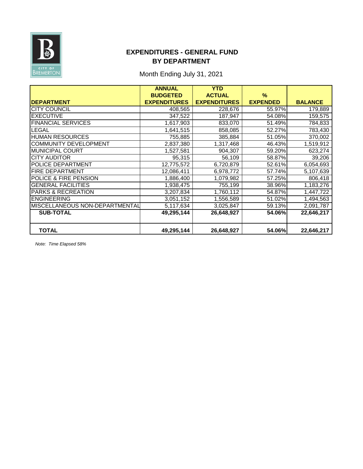

### **EXPENDITURES - GENERAL FUND BY DEPARTMENT**

# Month Ending July 31, 2021

|                                | <b>ANNUAL</b>       | <b>YTD</b>          |                 |                |
|--------------------------------|---------------------|---------------------|-----------------|----------------|
|                                | <b>BUDGETED</b>     | <b>ACTUAL</b>       | $\frac{9}{6}$   |                |
| <b>DEPARTMENT</b>              | <b>EXPENDITURES</b> | <b>EXPENDITURES</b> | <b>EXPENDED</b> | <b>BALANCE</b> |
| <b>CITY COUNCIL</b>            | 408,565             | 228,676             | 55.97%          | 179,889        |
| <b>EXECUTIVE</b>               | 347,522             | 187,947             | 54.08%          | 159,575        |
| <b>FINANCIAL SERVICES</b>      | 1,617,903           | 833,070             | 51.49%          | 784,833        |
| LEGAL                          | 1,641,515           | 858,085             | 52.27%          | 783,430        |
| <b>HUMAN RESOURCES</b>         | 755,885             | 385,884             | 51.05%          | 370,002        |
| <b>COMMUNITY DEVELOPMENT</b>   | 2,837,380           | 1,317,468           | 46.43%          | 1,519,912      |
| <b>MUNICIPAL COURT</b>         | 1,527,581           | 904,307             | 59.20%          | 623,274        |
| <b>CITY AUDITOR</b>            | 95,315              | 56,109              | 58.87%          | 39,206         |
| <b>POLICE DEPARTMENT</b>       | 12,775,572          | 6,720,879           | 52.61%          | 6,054,693      |
| <b>FIRE DEPARTMENT</b>         | 12,086,411          | 6,978,772           | 57.74%          | 5,107,639      |
| POLICE & FIRE PENSION          | 1,886,400           | 1,079,982           | 57.25%          | 806,418        |
| <b>GENERAL FACILITIES</b>      | 1,938,475           | 755,199             | 38.96%          | 1,183,276      |
| <b>PARKS &amp; RECREATION</b>  | 3,207,834           | 1,760,112           | 54.87%          | 1,447,722      |
| <b>ENGINEERING</b>             | 3,051,152           | 1,556,589           | 51.02%          | 1,494,563      |
| MISCELLANEOUS NON-DEPARTMENTAL | 5,117,634           | 3,025,847           | 59.13%          | 2,091,787      |
| <b>SUB-TOTAL</b>               | 49,295,144          | 26,648,927          | 54.06%          | 22,646,217     |
|                                |                     |                     |                 |                |
| <b>TOTAL</b>                   | 49,295,144          | 26,648,927          | 54.06%          | 22,646,217     |

*Note: Time Elapsed 58%*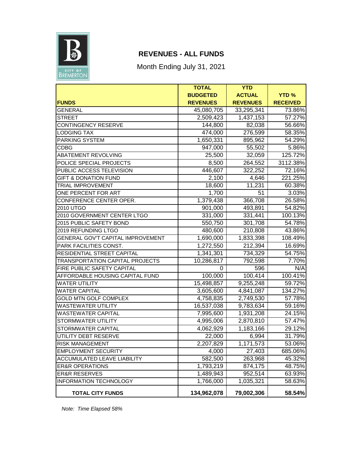

# **REVENUES - ALL FUNDS**

Month Ending July 31, 2021

|                                    | <b>TOTAL</b>       | <b>YTD</b>             |                 |
|------------------------------------|--------------------|------------------------|-----------------|
|                                    | <b>BUDGETED</b>    | <b>ACTUAL</b>          | <b>YTD%</b>     |
| <b>FUNDS</b>                       | <b>REVENUES</b>    | <b>REVENUES</b>        | <b>RECEIVED</b> |
| <b>GENERAL</b>                     | 45,080,705         | 33,295,341             | 73.86%          |
| <b>STREET</b>                      | 2,509,423          | 1,437,153              | 57.27%          |
| <b>CONTINGENCY RESERVE</b>         | 144,800            | 82,038                 | 56.66%          |
| <b>LODGING TAX</b>                 | 474,000            | 276,599                | 58.35%          |
| PARKING SYSTEM                     | 1,650,331          | 895,962                | 54.29%          |
| <b>CDBG</b>                        | 947,000            | 55,502                 | 5.86%           |
| ABATEMENT REVOLVING                | 25,500             | 32,059                 | 125.72%         |
| POLICE SPECIAL PROJECTS            | 8,500              | 264,552                | 3112.38%        |
| PUBLIC ACCESS TELEVISION           | 446,607            | 322,252                | 72.16%          |
| <b>GIFT &amp; DONATION FUND</b>    | 2,100              | 4,646                  | 221.25%         |
| <b>TRIAL IMPROVEMENT</b>           | 18,600             | 11,231                 | 60.38%          |
| ONE PERCENT FOR ART                | 1,700              | 51                     | 3.03%           |
| CONFERENCE CENTER OPER.            | 1,379,438          | 366,708                | 26.58%          |
| 2010 UTGO                          | 901,000            | 493,891                | 54.82%          |
| 2010 GOVERNMENT CENTER LTGO        | 331,000            | 331,441                | 100.13%         |
| 2015 PUBLIC SAFETY BOND            | 550,750            | 301,708                | 54.78%          |
| 2019 REFUNDING LTGO                | 480,600            | 210,808                | 43.86%          |
| GENERAL GOV'T CAPITAL IMPROVEMENT  | 1,690,000          | 1,833,398              | 108.49%         |
| PARK FACILITIES CONST.             | 1,272,550          | 212,394                | 16.69%          |
| RESIDENTIAL STREET CAPITAL         | 1,341,301          | 734,329                | 54.75%          |
| TRANSPORTATION CAPITAL PROJECTS    | 10,286,817         | 792,598                | 7.70%           |
| FIRE PUBLIC SAFETY CAPITAL         | 0                  | 596                    | N/A             |
| AFFORDABLE HOUSING CAPITAL FUND    | 100,000            | 100,414                | 100.41%         |
| <b>WATER UTILITY</b>               | 15,498,857         | $\overline{9,}255,248$ | 59.72%          |
| <b>WATER CAPITAL</b>               | 3,605,600          | 4,841,087              | 134.27%         |
| <b>GOLD MTN GOLF COMPLEX</b>       | 4,758,835          | 2,749,530              | 57.78%          |
| <b>WASTEWATER UTILITY</b>          | 16,537,038         | 9,783,634              | 59.16%          |
| <b>WASTEWATER CAPITAL</b>          | 7,995,600          | 1,931,208              | 24.15%          |
| STORMWATER UTILITY                 | 4,995,006          | 2,870,810              | 57.47%          |
| STORMWATER CAPITAL                 | $\sqrt{4,062,929}$ | 1,183,166              | 29.12%          |
| UTILITY DEBT RESERVE               | 22,000             | 6,994                  | 31.79%          |
| <b>RISK MANAGEMENT</b>             | 2,207,829          | 1,171,573              | 53.06%          |
| EMPLOYMENT SECURITY                | 4,000              | 27,403                 | 685.06%         |
| <b>ACCUMULATED LEAVE LIABILITY</b> | 582,500            | 263,968                | 45.32%          |
| <b>ER&amp;R OPERATIONS</b>         | 1,793,219          | 874, 175               | 48.75%          |
| <b>ER&amp;R RESERVES</b>           | 1,489,943          | 952,514                | 63.93%          |
| <b>INFORMATION TECHNOLOGY</b>      | 1,766,000          | 1,035,321              | 58.63%          |
| <b>TOTAL CITY FUNDS</b>            | 134,962,078        | 79,002,306             | 58.54%          |

*Note: Time Elapsed 58%*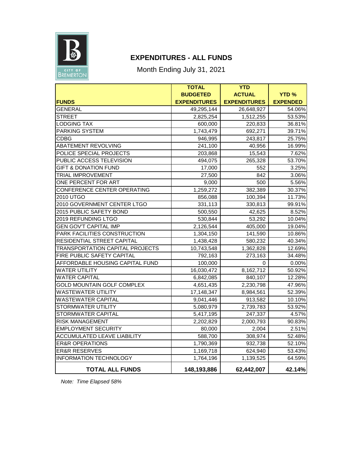

### **EXPENDITURES - ALL FUNDS**

Month Ending July 31, 2021

|                                        | <b>TOTAL</b>        | <b>YTD</b>          |                 |
|----------------------------------------|---------------------|---------------------|-----------------|
|                                        | <b>BUDGETED</b>     | <b>ACTUAL</b>       | <b>YTD %</b>    |
| <b>FUNDS</b>                           | <b>EXPENDITURES</b> | <b>EXPENDITURES</b> | <b>EXPENDED</b> |
| <b>GENERAL</b>                         | 49,295,144          | 26,648,927          | 54.06%          |
| <b>STREET</b>                          | 2,825,254           | 1,512,255           | 53.53%          |
| <b>LODGING TAX</b>                     | 600,000             | 220,833             | 36.81%          |
| <b>PARKING SYSTEM</b>                  | 1,743,479           | 692,271             | 39.71%          |
| <b>CDBG</b>                            | 946,995             | 243,817             | 25.75%          |
| ABATEMENT REVOLVING                    | 241,100             | 40,956              | 16.99%          |
| POLICE SPECIAL PROJECTS                | 203,868             | 15,543              | 7.62%           |
| PUBLIC ACCESS TELEVISION               | 494,075             | 265,328             | 53.70%          |
| <b>GIFT &amp; DONATION FUND</b>        | 17,000              | 552                 | 3.25%           |
| <b>TRIAL IMPROVEMENT</b>               | 27,500              | 842                 | 3.06%           |
| ONE PERCENT FOR ART                    | 9,000               | 500                 | 5.56%           |
| CONFERENCE CENTER OPERATING            | 1,259,272           | 382,389             | 30.37%          |
| 2010 UTGO                              | 856,088             | 100,394             | 11.73%          |
| 2010 GOVERNMENT CENTER LTGO            | 331,113             | 330,813             | 99.91%          |
| 2015 PUBLIC SAFETY BOND                | 500,550             | 42,625              | 8.52%           |
| 2019 REFUNDING LTGO                    | 530,844             | 53,292              | 10.04%          |
| <b>GEN GOV'T CAPITAL IMP</b>           | 2,126,544           | 405,000             | 19.04%          |
| PARK FACILITIES CONSTRUCTION           | 1,304,150           | 141,590             | 10.86%          |
| <b>RESIDENTIAL STREET CAPITAL</b>      | 1,438,428           | 580,232             | 40.34%          |
| <b>TRANSPORTATION CAPITAL PROJECTS</b> | 10,743,548          | 1,362,828           | 12.69%          |
| FIRE PUBLIC SAFETY CAPITAL             | 792,163             | 273,163             | 34.48%          |
| AFFORDABLE HOUSING CAPITAL FUND        | 100,000             | 0                   | 0.00%           |
| <b>WATER UTILITY</b>                   | 16,030,472          | 8,162,712           | 50.92%          |
| <b>WATER CAPITAL</b>                   | 6,842,085           | 840,107             | 12.28%          |
| <b>GOLD MOUNTAIN GOLF COMPLEX</b>      | 4,651,435           | 2,230,798           | 47.96%          |
| <b>WASTEWATER UTILITY</b>              | 17,148,347          | 8,984,561           | 52.39%          |
| <b>WASTEWATER CAPITAL</b>              | 9,041,446           | 913,582             | 10.10%          |
| <b>STORMWATER UTILITY</b>              | 5,080,979           | 2,739,783           | 53.92%          |
| <b>STORMWATER CAPITAL</b>              | 5,417,195           | 247,337             | 4.57%           |
| <b>RISK MANAGEMENT</b>                 | 2,202,829           | 2,000,793           | 90.83%          |
| <b>EMPLOYMENT SECURITY</b>             | 80,000              | 2,004               | 2.51%           |
| ACCUMULATED LEAVE LIABILITY            | 588,700             | 308,974             | 52.48%          |
| <b>ER&amp;R OPERATIONS</b>             | 1,790,369           | 932,738             | 52.10%          |
| <b>ER&amp;R RESERVES</b>               | 1,169,718           | 624,940             | 53.43%          |
| <b>INFORMATION TECHNOLOGY</b>          | 1,764,196           | 1,139,525           | 64.59%          |
| <b>TOTAL ALL FUNDS</b>                 | 148,193,886         | 62,442,007          | 42.14%          |

*Note: Time Elapsed 58%*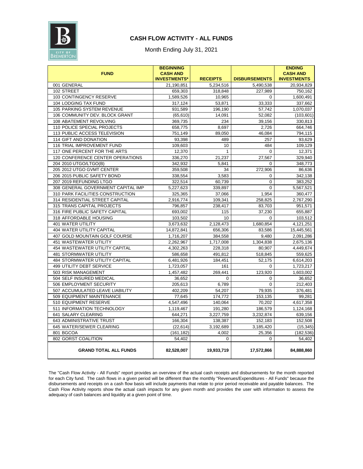

#### **CASH FLOW ACTIVITY - ALL FUNDS**

Month Ending July 31, 2021

|                                    | <b>BEGINNING</b>    |                 |                      | <b>ENDING</b>      |
|------------------------------------|---------------------|-----------------|----------------------|--------------------|
| <b>FUND</b>                        | <b>CASH AND</b>     |                 |                      | <b>CASH AND</b>    |
|                                    | <b>INVESTMENTS*</b> | <b>RECEIPTS</b> | <b>DISBURSEMENTS</b> | <b>INVESTMENTS</b> |
| 001 GENERAL                        | 21,190,851          | 5,234,516       | 5,490,538            | 20,934,829         |
| 102 STREET                         | 659,303             | 318,848         | 227,989              | 750,162            |
| 103 CONTINGENCY RESERVE            | 1,589,526           | 10,965          | 0                    | 1,600,491          |
| 104 LODGING TAX FUND               | 317,124             | 53,871          | 33,333               | 337,662            |
| 105 PARKING SYSTEM REVENUE         | 931,589             | 196,190         | 57,742               | 1,070,037          |
| 106 COMMUNITY DEV. BLOCK GRANT     | (65, 610)           | 14,091          | 52,082               | (103, 601)         |
| 108 ABATEMENT REVOLVING            | 369,735             | 234             | 39,156               | 330,813            |
| 110 POLICE SPECIAL PROJECTS        | 658,775             | 8,697           | 2,726                | 664,746            |
| 113 PUBLIC ACCESS TELEVISION       | 751,149             | 89,050          | 46,084               | 794,115            |
| 114 GIFT AND DONATION              | 93,398              | 489             | 257                  | 93,629             |
| 116 TRIAL IMPROVEMENT FUND         | 109,603             | 10              | 484                  | 109,129            |
| 117 ONE PERCENT FOR THE ARTS       | 12,370              | 1               | $\Omega$             | 12,371             |
| 120 CONFERENCE CENTER OPERATIONS   | 336,270             | 21,237          | 27,567               | 329,940            |
| 204 2010 UTGO/LTGO(B)              | 342,932             | 5,841           | 0                    | 348,773            |
| 205 2012 UTGO GVMT CENTER          | 359,508             | 34              | 272,906              | 86,636             |
| 206 2015 PUBLIC SAFETY BOND        | 338,554             | 3,583           | 0                    | 342,138            |
| 207 2019 REFUNDING LTGO            | 322,514             | 60,739          | 0                    | 383,252            |
| 308 GENERAL GOVERNMENT CAPITAL IMP | 5,227,623           | 339,897         | $\Omega$             | 5,567,521          |
| 310 PARK FACILITIES CONSTRUCTION   | 325,365             | 37,066          | 1,954                | 360,477            |
| 314 RESIDENTIAL STREET CAPITAL     | 2,916,774           | 109,341         | 258,825              | 2,767,290          |
| 315 TRANS CAPITAL PROJECTS         | 796,857             | 238,417         | 83,703               | 951,571            |
| 316 FIRE PUBLIC SAFETY CAPITAL     | 693,002             | 115             | 37,230               | 655,887            |
| 318 AFFORDABLE HOUSING             | 103,502             | 10              | $\mathbf 0$          | 103,512            |
| <b>401 WATER UTILITY</b>           | 3,673,632           | 2,128,473       | 1,680,854            | 4,121,251          |
| 404 WATER UTILITY CAPITAL          | 14,872,841          | 656,306         | 83,586               | 15,445,561         |
| 407 GOLD MOUNTAIN GOLF COURSE      | 1,716,207           | 384,558         | 9,480                | 2,091,286          |
| 451 WASTEWATER UTILITY             | 2,262,967           | 1,717,008       | 1,304,838            | 2,675,136          |
| 454 WASTEWATER UTILITY CAPITAL     | 4,302,263           | 228,318         | 80,907               | 4,449,674          |
| <b>481 STORMWATER UTILITY</b>      | 586,658             | 491,812         | 518,845              | 559,625            |
| 484 STORMWATER UTILITY CAPITAL     | 6,481,926           | 184,451         | 52,175               | 6,614,203          |
| 499 UTILITY DEBT SERVICE           | 1,723,057           | 161             | 0                    | 1,723,217          |
| 503 RISK MANAGEMENT                | 1,457,482           | 269,441         | 123,920              | 1,603,002          |
| 504 SELF INSURED MEDICAL           | 36,652              | 0               | 0                    | 36,652             |
| 506 EMPLOYMENT SECURITY            | 205,613             | 6,789           | $\Omega$             | 212,403            |
| 507 ACCUMULATED LEAVE LIABILITY    | 402,209             | 54,207          | 79,935               | 376,481            |
| 509 EQUIPMENT MAINTENANCE          | 77,645              | 174,772         | 153,135              | 99,281             |
| 510 EQUIPMENT RESERVE              | 4,547,496           | 140,064         | 70,202               | 4,617,358          |
| 511 INFORMATION TECHNOLOGY         | 1,119,467           | 191,280         | 186,579              | 1,124,168          |
| 641 SALARY CLEARING                | 644,271             | 3,227,759       | 3,232,874            | 639,156            |
| 643 ADMINISTRATIVE TRUST           | 166,304             | 138,387         | 152,183              | 152,508            |
| 645 WATER/SEWER CLEARING           | (22, 614)           | 3,192,689       | 3,185,420            | (15, 345)          |
| 801 BGCOA                          | (161, 182)          | 4,002           | 25,356               | (182, 536)         |
| 802 GORST COALITION                | 54,402              | 0               | 0                    | 54,402             |
| <b>GRAND TOTAL ALL FUNDS</b>       | 82,528,007          | 19,933,719      | 17,572,866           | 84,888,860         |

The "Cash Flow Activity - All Funds" report provides an overview of the actual cash receipts and disbursements for the month reported for each City fund. The cash flows in a given period will be different than the monthly "Revenues/Expenditures - All Funds" because the disbursements and receipts on a cash flow basis will include payments that relate to prior period receivable and payable balances. The Cash Flow Activity reports show the actual cash impacts for any given month and provides the user with information to assess the adequacy of cash balances and liquidity at a given point of time.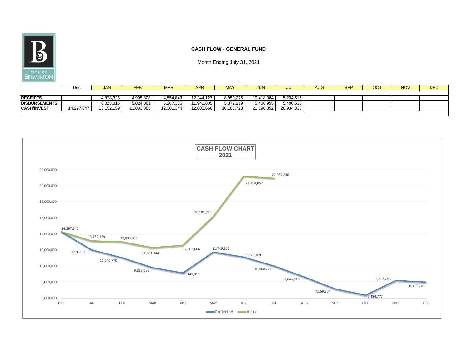

#### **CASH FLOW - GENERAL FUND**

|                      | Dec        | <b>JAN</b> | <b>FEB</b> | <b>MAR</b> | <b>APR</b> | <b>MAY</b> | <b>JUN</b> | JUL        | <b>AUG</b> | $\mathsf{SEP}$ | <b>OCT</b> | <b>NOV</b> | <b>DEC</b> |
|----------------------|------------|------------|------------|------------|------------|------------|------------|------------|------------|----------------|------------|------------|------------|
|                      |            |            |            |            |            |            |            |            |            |                |            |            |            |
| <b>RECEIPTS</b>      |            | 4,878,326  | 4,905,808  | 4,554,843  | 12,244,127 | 8,950,276  | 10,418,084 | 5,234,516  |            |                |            |            |            |
| <b>DISBURSEMENTS</b> |            | 6,023,815  | 5,024,081  | 5,287,385  | 11,941,805 | 5,372,219  | 5,408,955  | 5,490,538  |            |                |            |            |            |
| <b>CASH/INVEST</b>   | 14,297,647 | 13,152,159 | 13,033,886 | 12,301,344 | 12,603,666 | 16,181,723 | 21,190,852 | 20,934,830 |            |                |            |            |            |
|                      |            |            |            |            |            |            |            |            |            |                |            |            |            |